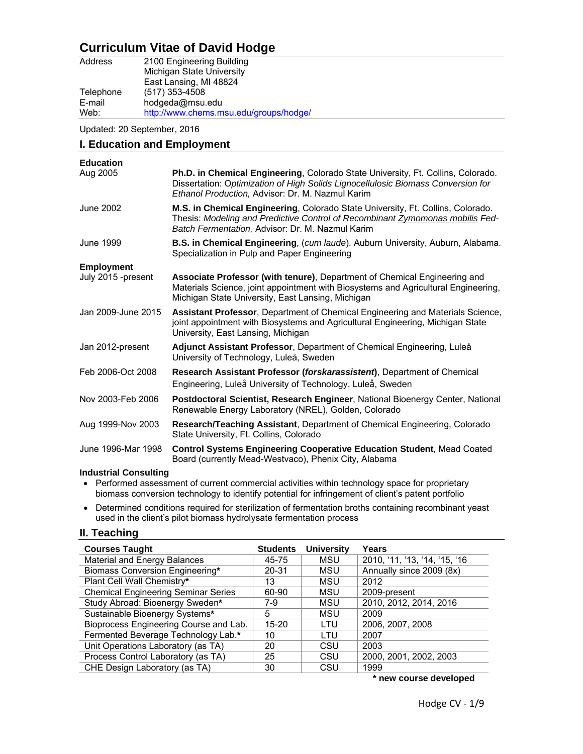# **Curriculum Vitae of David Hodge**

| Address   | 2100 Engineering Building              |
|-----------|----------------------------------------|
|           | Michigan State University              |
|           | East Lansing, MI 48824                 |
| Telephone | $(517)$ 353-4508                       |
| E-mail    | hodgeda@msu.edu                        |
| Web:      | http://www.chems.msu.edu/groups/hodge/ |

Updated: 20 September, 2016

| I. Education and Employment  |                                                                                                                                                                                                                                    |  |  |
|------------------------------|------------------------------------------------------------------------------------------------------------------------------------------------------------------------------------------------------------------------------------|--|--|
| <b>Education</b><br>Aug 2005 | <b>Ph.D. in Chemical Engineering, Colorado State University, Ft. Collins, Colorado.</b><br>Dissertation: Optimization of High Solids Lignocellulosic Biomass Conversion for<br>Ethanol Production, Advisor: Dr. M. Nazmul Karim    |  |  |
| June 2002                    | <b>M.S. in Chemical Engineering, Colorado State University, Ft. Collins, Colorado.</b><br>Thesis: Modeling and Predictive Control of Recombinant <b>Zymomonas mobilis Fed-</b><br>Batch Fermentation, Advisor: Dr. M. Nazmul Karim |  |  |
| June 1999                    | <b>B.S. in Chemical Engineering</b> , (cum laude). Auburn University, Auburn, Alabama.<br>Specialization in Pulp and Paper Engineering                                                                                             |  |  |
| <b>Employment</b>            |                                                                                                                                                                                                                                    |  |  |
| July 2015 -present           | Associate Professor (with tenure), Department of Chemical Engineering and<br>Materials Science, joint appointment with Biosystems and Agricultural Engineering,<br>Michigan State University, East Lansing, Michigan               |  |  |
| Jan 2009-June 2015           | Assistant Professor, Department of Chemical Engineering and Materials Science,<br>joint appointment with Biosystems and Agricultural Engineering, Michigan State<br>University, East Lansing, Michigan                             |  |  |
| Jan 2012-present             | Adjunct Assistant Professor, Department of Chemical Engineering, Luleå<br>University of Technology, Luleå, Sweden                                                                                                                  |  |  |
| Feb 2006-Oct 2008            | Research Assistant Professor (forskarassistent), Department of Chemical<br>Engineering, Luleå University of Technology, Luleå, Sweden                                                                                              |  |  |
| Nov 2003-Feb 2006            | Postdoctoral Scientist, Research Engineer, National Bioenergy Center, National<br>Renewable Energy Laboratory (NREL), Golden, Colorado                                                                                             |  |  |
| Aug 1999-Nov 2003            | <b>Research/Teaching Assistant, Department of Chemical Engineering, Colorado</b><br>State University, Ft. Collins, Colorado                                                                                                        |  |  |
| June 1996-Mar 1998           | <b>Control Systems Engineering Cooperative Education Student, Mead Coated</b><br>Board (currently Mead-Westvaco), Phenix City, Alabama                                                                                             |  |  |
| <b>Industrial Consulting</b> |                                                                                                                                                                                                                                    |  |  |

- Performed assessment of current commercial activities within technology space for proprietary biomass conversion technology to identify potential for infringement of client's patent portfolio
- Determined conditions required for sterilization of fermentation broths containing recombinant yeast used in the client's pilot biomass hydrolysate fermentation process

## **II. Teaching**

| <b>Courses Taught</b>                      | <b>Students</b> | <b>University</b> | Years                         |
|--------------------------------------------|-----------------|-------------------|-------------------------------|
| Material and Energy Balances               | 45-75           | MSU               | 2010, '11, '13, '14, '15, '16 |
| Biomass Conversion Engineering*            | 20-31           | <b>MSU</b>        | Annually since 2009 (8x)      |
| Plant Cell Wall Chemistry*                 | 13              | <b>MSU</b>        | 2012                          |
| <b>Chemical Engineering Seminar Series</b> | 60-90           | <b>MSU</b>        | 2009-present                  |
| Study Abroad: Bioenergy Sweden*            | 7-9             | <b>MSU</b>        | 2010, 2012, 2014, 2016        |
| Sustainable Bioenergy Systems*             | 5               | MSU               | 2009                          |
| Bioprocess Engineering Course and Lab.     | 15-20           | LTU               | 2006, 2007, 2008              |
| Fermented Beverage Technology Lab.*        | 10              | LTU               | 2007                          |
| Unit Operations Laboratory (as TA)         | 20              | CSU               | 2003                          |
| Process Control Laboratory (as TA)         | 25              | CSU               | 2000, 2001, 2002, 2003        |
| CHE Design Laboratory (as TA)              | 30              | CSU               | 1999                          |

**\* new course developed**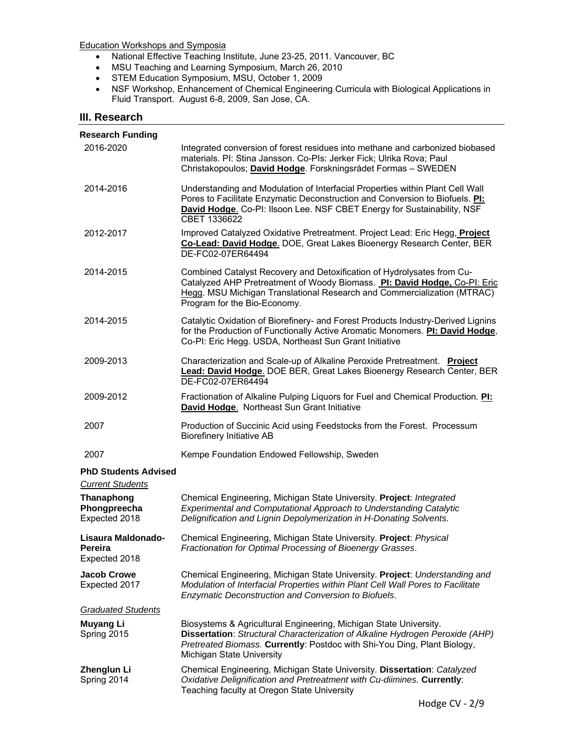Education Workshops and Symposia

- National Effective Teaching Institute, June 23-25, 2011. Vancouver, BC
- MSU Teaching and Learning Symposium, March 26, 2010
- STEM Education Symposium, MSU, October 1, 2009
- NSF Workshop, Enhancement of Chemical Engineering Curricula with Biological Applications in Fluid Transport. August 6-8, 2009, San Jose, CA.

### **III. Research**

| Research Funding                                                              |                                                                                                                                                                                                                                                                |
|-------------------------------------------------------------------------------|----------------------------------------------------------------------------------------------------------------------------------------------------------------------------------------------------------------------------------------------------------------|
| 2016-2020                                                                     | Integrated conversion of forest residues into methane and carbonized biobased<br>materials. Pl: Stina Jansson. Co-Pls: Jerker Fick; Ulrika Rova; Paul<br>Christakopoulos; David Hodge. Forskningsrådet Formas - SWEDEN                                         |
| 2014-2016                                                                     | Understanding and Modulation of Interfacial Properties within Plant Cell Wall<br>Pores to Facilitate Enzymatic Deconstruction and Conversion to Biofuels. Pl:<br>David Hodge. Co-PI: Ilsoon Lee. NSF CBET Energy for Sustainability, NSF<br>CBET 1336622       |
| 2012-2017                                                                     | Improved Catalyzed Oxidative Pretreatment. Project Lead: Eric Hegg, Project<br>Co-Lead: David Hodge. DOE, Great Lakes Bioenergy Research Center, BER<br>DE-FC02-07ER64494                                                                                      |
| 2014-2015                                                                     | Combined Catalyst Recovery and Detoxification of Hydrolysates from Cu-<br>Catalyzed AHP Pretreatment of Woody Biomass. Pl: David Hodge, Co-PI: Eric<br>Hegg. MSU Michigan Translational Research and Commercialization (MTRAC)<br>Program for the Bio-Economy. |
| 2014-2015                                                                     | Catalytic Oxidation of Biorefinery- and Forest Products Industry-Derived Lignins<br>for the Production of Functionally Active Aromatic Monomers. Pl: David Hodge,<br>Co-PI: Eric Hegg. USDA, Northeast Sun Grant Initiative                                    |
| 2009-2013                                                                     | Characterization and Scale-up of Alkaline Peroxide Pretreatment. Project<br>Lead: David Hodge. DOE BER, Great Lakes Bioenergy Research Center, BER<br>DE-FC02-07ER64494                                                                                        |
| 2009-2012                                                                     | Fractionation of Alkaline Pulping Liquors for Fuel and Chemical Production. PI:<br>David Hodge. Northeast Sun Grant Initiative                                                                                                                                 |
| 2007                                                                          | Production of Succinic Acid using Feedstocks from the Forest. Processum<br><b>Biorefinery Initiative AB</b>                                                                                                                                                    |
| 2007                                                                          | Kempe Foundation Endowed Fellowship, Sweden                                                                                                                                                                                                                    |
| <b>PhD Students Advised</b>                                                   |                                                                                                                                                                                                                                                                |
| <b>Current Students</b><br><b>Thanaphong</b><br>Phongpreecha<br>Expected 2018 | Chemical Engineering, Michigan State University. Project: Integrated<br>Experimental and Computational Approach to Understanding Catalytic<br>Delignification and Lignin Depolymerization in H-Donating Solvents.                                              |
| Lisaura Maldonado-<br>Pereira<br>Expected 2018                                | Chemical Engineering, Michigan State University. Project: Physical<br>Fractionation for Optimal Processing of Bioenergy Grasses.                                                                                                                               |
| <b>Jacob Crowe</b><br>Expected 2017                                           | Chemical Engineering, Michigan State University. Project: Understanding and<br>Modulation of Interfacial Properties within Plant Cell Wall Pores to Facilitate<br>Enzymatic Deconstruction and Conversion to Biofuels.                                         |
| <b>Graduated Students</b>                                                     |                                                                                                                                                                                                                                                                |
| <b>Muyang Li</b><br>Spring 2015                                               | Biosystems & Agricultural Engineering, Michigan State University.<br>Dissertation: Structural Characterization of Alkaline Hydrogen Peroxide (AHP)<br>Pretreated Biomass. Currently: Postdoc with Shi-You Ding, Plant Biology,<br>Michigan State University    |
| Zhenglun Li<br>Spring 2014                                                    | Chemical Engineering, Michigan State University. Dissertation: Catalyzed<br>Oxidative Delignification and Pretreatment with Cu-diimines. Currently:<br>Teaching faculty at Oregon State University                                                             |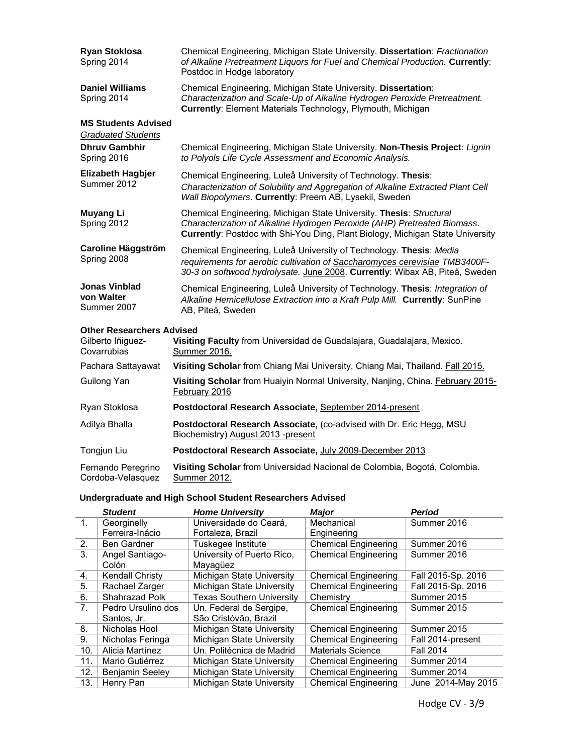| <b>Ryan Stoklosa</b><br>Spring 2014                     | Chemical Engineering, Michigan State University. Dissertation: Fractionation<br>of Alkaline Pretreatment Liquors for Fuel and Chemical Production. Currently:<br>Postdoc in Hodge laboratory                                      |  |
|---------------------------------------------------------|-----------------------------------------------------------------------------------------------------------------------------------------------------------------------------------------------------------------------------------|--|
| <b>Daniel Williams</b><br>Spring 2014                   | Chemical Engineering, Michigan State University. Dissertation:<br>Characterization and Scale-Up of Alkaline Hydrogen Peroxide Pretreatment.<br>Currently: Element Materials Technology, Plymouth, Michigan                        |  |
| <b>MS Students Advised</b><br><b>Graduated Students</b> |                                                                                                                                                                                                                                   |  |
| <b>Dhruy Gambhir</b><br>Spring 2016                     | Chemical Engineering, Michigan State University. Non-Thesis Project: Lignin<br>to Polyols Life Cycle Assessment and Economic Analysis.                                                                                            |  |
| <b>Elizabeth Hagbjer</b><br>Summer 2012                 | Chemical Engineering, Luleå University of Technology. Thesis:<br>Characterization of Solubility and Aggregation of Alkaline Extracted Plant Cell<br>Wall Biopolymers. Currently: Preem AB, Lysekil, Sweden                        |  |
| <b>Muyang Li</b><br>Spring 2012                         | Chemical Engineering, Michigan State University. Thesis: Structural<br>Characterization of Alkaline Hydrogen Peroxide (AHP) Pretreated Biomass.<br>Currently: Postdoc with Shi-You Ding, Plant Biology, Michigan State University |  |
| <b>Caroline Häggström</b><br>Spring 2008                | Chemical Engineering, Luleå University of Technology. Thesis: Media<br>requirements for aerobic cultivation of Saccharomyces cerevisiae TMB3400F-<br>30-3 on softwood hydrolysate. June 2008. Currently: Wibax AB, Piteå, Sweden  |  |
| <b>Jonas Vinblad</b><br>von Walter<br>Summer 2007       | Chemical Engineering, Luleå University of Technology. Thesis: Integration of<br>Alkaline Hemicellulose Extraction into a Kraft Pulp Mill. Currently: SunPine<br>AB, Piteå, Sweden                                                 |  |
| <b>Other Researchers Advised</b>                        |                                                                                                                                                                                                                                   |  |
| Gilberto Iñiguez-<br>Covarrubias                        | Visiting Faculty from Universidad de Guadalajara, Guadalajara, Mexico.<br>Summer 2016.                                                                                                                                            |  |
| Pachara Sattayawat                                      | Visiting Scholar from Chiang Mai University, Chiang Mai, Thailand. Fall 2015.                                                                                                                                                     |  |
| Guilong Yan                                             | Visiting Scholar from Huaiyin Normal University, Nanjing, China. February 2015-<br>February 2016                                                                                                                                  |  |
| Ryan Stoklosa                                           | Postdoctoral Research Associate, September 2014-present                                                                                                                                                                           |  |

| Aditya Bhalla | <b>Postdoctoral Research Associate, (co-advised with Dr. Eric Hegg, MSU)</b><br>Biochemistry) August 2013 -present |
|---------------|--------------------------------------------------------------------------------------------------------------------|
| Tongjun Liu   | Postdoctoral Research Associate, July 2009-December 2013                                                           |

| Fernando Peregrino             | Visiting Scholar from Universidad Nacional de Colombia, Bogotá, Colombia. |
|--------------------------------|---------------------------------------------------------------------------|
| Cordoba-Velasquez Summer 2012. |                                                                           |

## **Undergraduate and High School Student Researchers Advised**

|                | <b>Student</b>         | <b>Home University</b>           | <b>Major</b>                | <b>Period</b>      |
|----------------|------------------------|----------------------------------|-----------------------------|--------------------|
| 1.             | Georginelly            | Universidade do Ceará.           | Mechanical                  | Summer 2016        |
|                | Ferreira-Inácio        | Fortaleza, Brazil                | Engineering                 |                    |
| 2.             | <b>Ben Gardner</b>     | Tuskegee Institute               | <b>Chemical Engineering</b> | Summer 2016        |
| 3.             | Angel Santiago-        | University of Puerto Rico,       | <b>Chemical Engineering</b> | Summer 2016        |
|                | Colón                  | Mayaqüez                         |                             |                    |
| 4.             | <b>Kendall Christy</b> | Michigan State University        | <b>Chemical Engineering</b> | Fall 2015-Sp. 2016 |
| 5.             | Rachael Zarger         | Michigan State University        | <b>Chemical Engineering</b> | Fall 2015-Sp. 2016 |
| 6.             | Shahrazad Polk         | <b>Texas Southern University</b> | Chemistry                   | Summer 2015        |
| 7 <sub>1</sub> | Pedro Ursulino dos     | Un. Federal de Sergipe,          | <b>Chemical Engineering</b> | Summer 2015        |
|                | Santos, Jr.            | São Cristóvão, Brazil            |                             |                    |
| 8.             | Nicholas Hool          | Michigan State University        | <b>Chemical Engineering</b> | Summer 2015        |
| 9 <sub>1</sub> | Nicholas Feringa       | Michigan State University        | <b>Chemical Engineering</b> | Fall 2014-present  |
| 10.            | Alicia Martínez        | Un. Politécnica de Madrid        | <b>Materials Science</b>    | <b>Fall 2014</b>   |
| 11.            | Mario Gutiérrez        | Michigan State University        | <b>Chemical Engineering</b> | Summer 2014        |
| 12.            | <b>Benjamin Seeley</b> | Michigan State University        | <b>Chemical Engineering</b> | Summer 2014        |
| 13.            | Henry Pan              | Michigan State University        | <b>Chemical Engineering</b> | June 2014-May 2015 |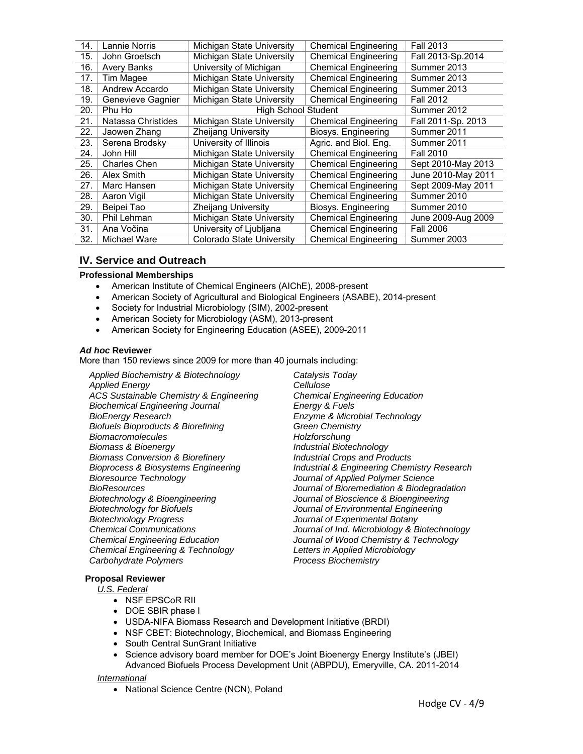| 14. | Lannie Norris       | Michigan State University        | <b>Chemical Engineering</b> | <b>Fall 2013</b>   |
|-----|---------------------|----------------------------------|-----------------------------|--------------------|
| 15. | John Groetsch       | Michigan State University        | <b>Chemical Engineering</b> | Fall 2013-Sp.2014  |
| 16. | <b>Avery Banks</b>  | University of Michigan           | <b>Chemical Engineering</b> | Summer 2013        |
| 17. | Tim Magee           | Michigan State University        | <b>Chemical Engineering</b> | Summer 2013        |
| 18. | Andrew Accardo      | Michigan State University        | <b>Chemical Engineering</b> | Summer 2013        |
| 19. | Genevieve Gagnier   | Michigan State University        | <b>Chemical Engineering</b> | <b>Fall 2012</b>   |
| 20. | Phu Ho              | <b>High School Student</b>       |                             | Summer 2012        |
| 21. | Natassa Christides  | Michigan State University        | <b>Chemical Engineering</b> | Fall 2011-Sp. 2013 |
| 22. | Jaowen Zhang        | <b>Zheijang University</b>       | Biosys. Engineering         | Summer 2011        |
| 23. | Serena Brodsky      | University of Illinois           | Agric. and Biol. Eng.       | Summer 2011        |
| 24. | John Hill           | Michigan State University        | <b>Chemical Engineering</b> | <b>Fall 2010</b>   |
| 25. | <b>Charles Chen</b> | Michigan State University        | <b>Chemical Engineering</b> | Sept 2010-May 2013 |
| 26. | Alex Smith          | Michigan State University        | <b>Chemical Engineering</b> | June 2010-May 2011 |
| 27. | Marc Hansen         | Michigan State University        | <b>Chemical Engineering</b> | Sept 2009-May 2011 |
| 28. | Aaron Vigil         | Michigan State University        | <b>Chemical Engineering</b> | Summer 2010        |
| 29. | Beipei Tao          | <b>Zheijang University</b>       | Biosys. Engineering         | Summer 2010        |
| 30. | Phil Lehman         | Michigan State University        | <b>Chemical Engineering</b> | June 2009-Aug 2009 |
| 31. | Ana Vočina          | University of Ljubljana          | <b>Chemical Engineering</b> | <b>Fall 2006</b>   |
| 32. | Michael Ware        | <b>Colorado State University</b> | <b>Chemical Engineering</b> | Summer 2003        |

## **IV. Service and Outreach**

#### **Professional Memberships**

- American Institute of Chemical Engineers (AIChE), 2008-present
- American Society of Agricultural and Biological Engineers (ASABE), 2014-present
- Society for Industrial Microbiology (SIM), 2002-present
- American Society for Microbiology (ASM), 2013-present
- American Society for Engineering Education (ASEE), 2009-2011

#### *Ad hoc* **Reviewer**

More than 150 reviews since 2009 for more than 40 journals including:

*Applied Biochemistry & Biotechnology Applied Energy ACS Sustainable Chemistry & Engineering Biochemical Engineering Journal BioEnergy Research Biofuels Bioproducts & Biorefining Biomacromolecules Biomass & Bioenergy Biomass Conversion & Biorefinery Bioprocess & Biosystems Engineering Bioresource Technology BioResources Biotechnology & Bioengineering Biotechnology for Biofuels Biotechnology Progress Chemical Communications Chemical Engineering Education Chemical Engineering & Technology Carbohydrate Polymers* 

*Catalysis Today Cellulose Chemical Engineering Education Energy & Fuels Enzyme & Microbial Technology Green Chemistry Holzforschung Industrial Biotechnology Industrial Crops and Products Industrial & Engineering Chemistry Research Journal of Applied Polymer Science Journal of Bioremediation & Biodegradation Journal of Bioscience & Bioengineering Journal of Environmental Engineering Journal of Experimental Botany Journal of Ind. Microbiology & Biotechnology Journal of Wood Chemistry & Technology Letters in Applied Microbiology Process Biochemistry* 

#### **Proposal Reviewer**

 *U.S. Federal*

- NSF EPSCoR RII
- DOE SBIR phase I
- USDA-NIFA Biomass Research and Development Initiative (BRDI)
- NSF CBET: Biotechnology, Biochemical, and Biomass Engineering
- South Central SunGrant Initiative
- Science advisory board member for DOE's Joint Bioenergy Energy Institute's (JBEI) Advanced Biofuels Process Development Unit (ABPDU), Emeryville, CA. 2011-2014

#### *International*

• National Science Centre (NCN), Poland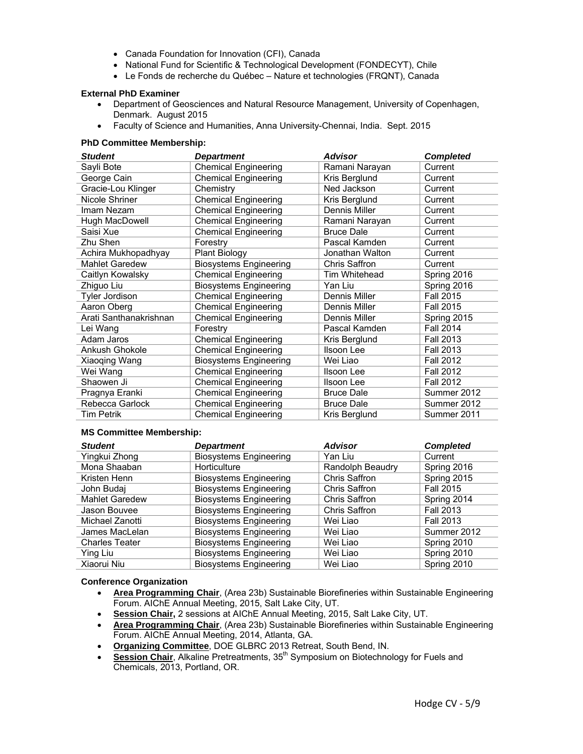- Canada Foundation for Innovation (CFI), Canada
- National Fund for Scientific & Technological Development (FONDECYT), Chile
- Le Fonds de recherche du Québec Nature et technologies (FRQNT), Canada

#### **External PhD Examiner**

- Department of Geosciences and Natural Resource Management, University of Copenhagen, Denmark. August 2015
- Faculty of Science and Humanities, Anna University-Chennai, India. Sept. 2015

#### **PhD Committee Membership:**

| <b>Student</b>         | <b>Department</b>             | <b>Advisor</b>       | <b>Completed</b> |
|------------------------|-------------------------------|----------------------|------------------|
| Sayli Bote             | <b>Chemical Engineering</b>   | Ramani Narayan       | Current          |
| George Cain            | <b>Chemical Engineering</b>   | Kris Berglund        | Current          |
| Gracie-Lou Klinger     | Chemistry                     | Ned Jackson          | Current          |
| Nicole Shriner         | <b>Chemical Engineering</b>   | Kris Berglund        | Current          |
| Imam Nezam             | <b>Chemical Engineering</b>   | Dennis Miller        | Current          |
| Hugh MacDowell         | <b>Chemical Engineering</b>   | Ramani Narayan       | Current          |
| Saisi Xue              | <b>Chemical Engineering</b>   | <b>Bruce Dale</b>    | Current          |
| Zhu Shen               | Forestry                      | Pascal Kamden        | Current          |
| Achira Mukhopadhyay    | <b>Plant Biology</b>          | Jonathan Walton      | Current          |
| <b>Mahlet Garedew</b>  | <b>Biosystems Engineering</b> | <b>Chris Saffron</b> | Current          |
| Caitlyn Kowalsky       | <b>Chemical Engineering</b>   | Tim Whitehead        | Spring 2016      |
| Zhiguo Liu             | <b>Biosystems Engineering</b> | Yan Liu              | Spring 2016      |
| <b>Tyler Jordison</b>  | <b>Chemical Engineering</b>   | Dennis Miller        | <b>Fall 2015</b> |
| Aaron Oberg            | <b>Chemical Engineering</b>   | Dennis Miller        | <b>Fall 2015</b> |
| Arati Santhanakrishnan | <b>Chemical Engineering</b>   | Dennis Miller        | Spring 2015      |
| Lei Wang               | Forestry                      | Pascal Kamden        | <b>Fall 2014</b> |
| Adam Jaros             | <b>Chemical Engineering</b>   | Kris Berglund        | <b>Fall 2013</b> |
| Ankush Ghokole         | <b>Chemical Engineering</b>   | Ilsoon Lee           | <b>Fall 2013</b> |
| Xiaoqing Wang          | <b>Biosystems Engineering</b> | Wei Liao             | <b>Fall 2012</b> |
| Wei Wang               | <b>Chemical Engineering</b>   | Ilsoon Lee           | <b>Fall 2012</b> |
| Shaowen Ji             | <b>Chemical Engineering</b>   | Ilsoon Lee           | <b>Fall 2012</b> |
| Pragnya Eranki         | <b>Chemical Engineering</b>   | <b>Bruce Dale</b>    | Summer 2012      |
| Rebecca Garlock        | <b>Chemical Engineering</b>   | <b>Bruce Dale</b>    | Summer 2012      |
| Tim Petrik             | <b>Chemical Engineering</b>   | Kris Berglund        | Summer 2011      |

#### **MS Committee Membership:**

| <b>Student</b>        | Department                    | <b>Advisor</b>   | <b>Completed</b> |
|-----------------------|-------------------------------|------------------|------------------|
| Yingkui Zhong         | <b>Biosystems Engineering</b> | Yan Liu          | Current          |
| Mona Shaaban          | Horticulture                  | Randolph Beaudry | Spring 2016      |
| Kristen Henn          | <b>Biosystems Engineering</b> | Chris Saffron    | Spring 2015      |
| John Budaj            | <b>Biosystems Engineering</b> | Chris Saffron    | <b>Fall 2015</b> |
| <b>Mahlet Garedew</b> | <b>Biosystems Engineering</b> | Chris Saffron    | Spring 2014      |
| Jason Bouvee          | <b>Biosystems Engineering</b> | Chris Saffron    | <b>Fall 2013</b> |
| Michael Zanotti       | <b>Biosystems Engineering</b> | Wei Liao         | <b>Fall 2013</b> |
| James MacLelan        | <b>Biosystems Engineering</b> | Wei Liao         | Summer 2012      |
| <b>Charles Teater</b> | <b>Biosystems Engineering</b> | Wei Liao         | Spring 2010      |
| Ying Liu              | <b>Biosystems Engineering</b> | Wei Liao         | Spring 2010      |
| Xiaorui Niu           | <b>Biosystems Engineering</b> | Wei Liao         | Spring 2010      |

#### **Conference Organization**

- **Area Programming Chair**, (Area 23b) Sustainable Biorefineries within Sustainable Engineering Forum. AIChE Annual Meeting, 2015, Salt Lake City, UT.
- **Session Chair,** 2 sessions at AIChE Annual Meeting, 2015, Salt Lake City, UT.
- **Area Programming Chair**, (Area 23b) Sustainable Biorefineries within Sustainable Engineering Forum. AIChE Annual Meeting, 2014, Atlanta, GA.
- **Organizing Committee**, DOE GLBRC 2013 Retreat, South Bend, IN.
- **Session Chair**, Alkaline Pretreatments, 35<sup>th</sup> Symposium on Biotechnology for Fuels and Chemicals, 2013, Portland, OR.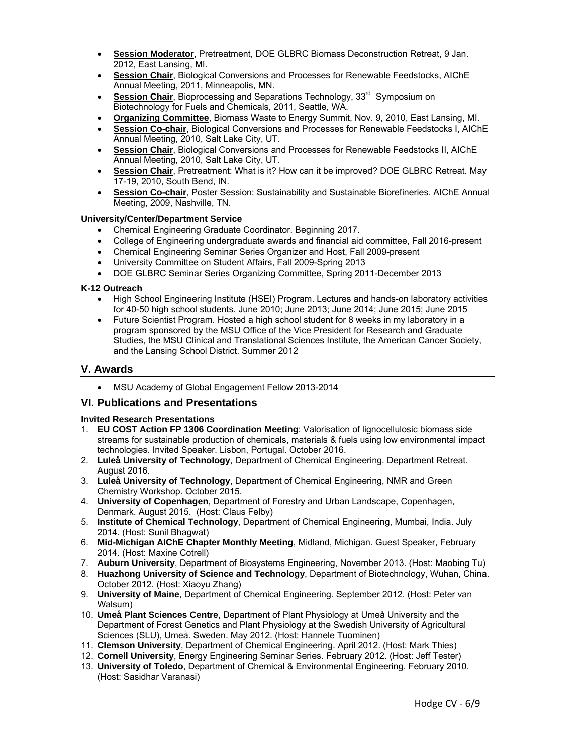- **Session Moderator**, Pretreatment, DOE GLBRC Biomass Deconstruction Retreat, 9 Jan. 2012, East Lansing, MI.
- **Session Chair**, Biological Conversions and Processes for Renewable Feedstocks, AIChE Annual Meeting, 2011, Minneapolis, MN.
- **Session Chair**, Bioprocessing and Separations Technology, 33<sup>rd</sup> Symposium on Biotechnology for Fuels and Chemicals, 2011, Seattle, WA.
- **Organizing Committee**, Biomass Waste to Energy Summit, Nov. 9, 2010, East Lansing, MI.
- **Session Co-chair**, Biological Conversions and Processes for Renewable Feedstocks I, AIChE Annual Meeting, 2010, Salt Lake City, UT.
- **Session Chair**, Biological Conversions and Processes for Renewable Feedstocks II, AIChE Annual Meeting, 2010, Salt Lake City, UT.
- **Session Chair**, Pretreatment: What is it? How can it be improved? DOE GLBRC Retreat. May 17-19, 2010, South Bend, IN.
- **Session Co-chair**, Poster Session: Sustainability and Sustainable Biorefineries. AIChE Annual Meeting, 2009, Nashville, TN.

#### **University/Center/Department Service**

- Chemical Engineering Graduate Coordinator. Beginning 2017.
- College of Engineering undergraduate awards and financial aid committee, Fall 2016-present
- Chemical Engineering Seminar Series Organizer and Host, Fall 2009-present
- University Committee on Student Affairs, Fall 2009-Spring 2013
- DOE GLBRC Seminar Series Organizing Committee, Spring 2011-December 2013

### **K-12 Outreach**

- High School Engineering Institute (HSEI) Program. Lectures and hands-on laboratory activities for 40-50 high school students. June 2010; June 2013; June 2014; June 2015; June 2015
- Future Scientist Program. Hosted a high school student for 8 weeks in my laboratory in a program sponsored by the MSU Office of the Vice President for Research and Graduate Studies, the MSU Clinical and Translational Sciences Institute, the American Cancer Society, and the Lansing School District. Summer 2012

## **V. Awards**

• MSU Academy of Global Engagement Fellow 2013-2014

## **VI. Publications and Presentations**

#### **Invited Research Presentations**

- 1. **EU COST Action FP 1306 Coordination Meeting**: Valorisation of lignocellulosic biomass side streams for sustainable production of chemicals, materials & fuels using low environmental impact technologies. Invited Speaker. Lisbon, Portugal. October 2016.
- 2. **Luleå University of Technology**, Department of Chemical Engineering. Department Retreat. August 2016.
- 3. **Luleå University of Technology**, Department of Chemical Engineering, NMR and Green Chemistry Workshop. October 2015.
- 4. **University of Copenhagen**, Department of Forestry and Urban Landscape, Copenhagen, Denmark. August 2015. (Host: Claus Felby)
- 5. **Institute of Chemical Technology**, Department of Chemical Engineering, Mumbai, India. July 2014. (Host: Sunil Bhagwat)
- 6. **Mid-Michigan AIChE Chapter Monthly Meeting**, Midland, Michigan. Guest Speaker, February 2014. (Host: Maxine Cotrell)
- 7. **Auburn University**, Department of Biosystems Engineering, November 2013. (Host: Maobing Tu)
- 8. **Huazhong University of Science and Technology**, Department of Biotechnology, Wuhan, China. October 2012. (Host: Xiaoyu Zhang)
- 9. **University of Maine**, Department of Chemical Engineering. September 2012. (Host: Peter van Walsum)
- 10. **Umeå Plant Sciences Centre**, Department of Plant Physiology at Umeå University and the Department of Forest Genetics and Plant Physiology at the Swedish University of Agricultural Sciences (SLU), Umeå. Sweden. May 2012. (Host: Hannele Tuominen)
- 11. **Clemson University**, Department of Chemical Engineering. April 2012. (Host: Mark Thies)
- 12. **Cornell University**, Energy Engineering Seminar Series. February 2012. (Host: Jeff Tester)
- 13. **University of Toledo**, Department of Chemical & Environmental Engineering. February 2010. (Host: Sasidhar Varanasi)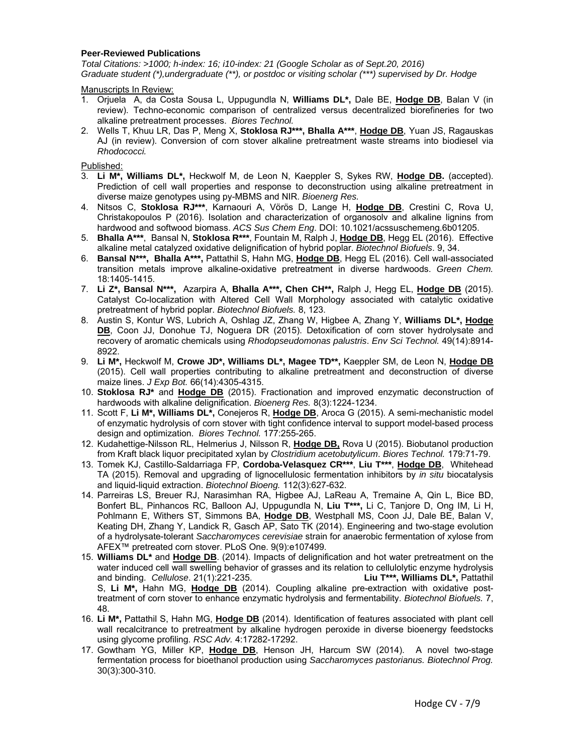#### **Peer-Reviewed Publications**

*Total Citations: >1000; h-index: 16; i10-index: 21 (Google Scholar as of Sept.20, 2016) Graduate student (\*),undergraduate (\*\*), or postdoc or visiting scholar (\*\*\*) supervised by Dr. Hodge* 

Manuscripts In Review:

- 1. Orjuela A, da Costa Sousa L, Uppugundla N, **Williams DL\*,** Dale BE, **Hodge DB**, Balan V (in review). Techno-economic comparison of centralized versus decentralized biorefineries for two alkaline pretreatment processes. *Biores Technol.*
- 2. Wells T, Khuu LR, Das P, Meng X, **Stoklosa RJ\*\*\*, Bhalla A\*\*\***, **Hodge DB**, Yuan JS, Ragauskas AJ (in review). Conversion of corn stover alkaline pretreatment waste streams into biodiesel via *Rhodococci.*

Published:

- 3. **Li M\*, Williams DL\*,** Heckwolf M, de Leon N, Kaeppler S, Sykes RW, **Hodge DB.** (accepted). Prediction of cell wall properties and response to deconstruction using alkaline pretreatment in diverse maize genotypes using py-MBMS and NIR. *Bioenerg Res.*
- 4. Nitsos C, **Stoklosa RJ\*\*\***, Karnaouri A, Vörös D, Lange H, **Hodge DB**, Crestini C, Rova U, Christakopoulos P (2016). Isolation and characterization of organosolv and alkaline lignins from hardwood and softwood biomass. *ACS Sus Chem Eng*. DOI: 10.1021/acssuschemeng.6b01205.
- 5. **Bhalla A\*\*\***, Bansal N, **Stoklosa R\*\*\***, Fountain M, Ralph J, **Hodge DB**, Hegg EL (2016). Effective alkaline metal catalyzed oxidative delignification of hybrid poplar. *Biotechnol Biofuels*. 9, 34.
- 6. **Bansal N\*\*\*, Bhalla A\*\*\*,** Pattathil S, Hahn MG, **Hodge DB**, Hegg EL (2016). Cell wall-associated transition metals improve alkaline-oxidative pretreatment in diverse hardwoods. *Green Chem.* 18:1405-1415.
- 7. **Li Z\*, Bansal N\*\*\*,** Azarpira A, **Bhalla A\*\*\*, Chen CH\*\*,** Ralph J, Hegg EL, **Hodge DB** (2015). Catalyst Co-localization with Altered Cell Wall Morphology associated with catalytic oxidative pretreatment of hybrid poplar. *Biotechnol Biofuels.* 8, 123.
- 8. Austin S, Kontur WS, Lubrich A, Oshlag JZ, Zhang W, Higbee A, Zhang Y, **Williams DL\*, Hodge DB**, Coon JJ, Donohue TJ, Noguera DR (2015). Detoxification of corn stover hydrolysate and recovery of aromatic chemicals using *Rhodopseudomonas palustris*. *Env Sci Technol.* 49(14):8914- 8922.
- 9. **Li M\*,** Heckwolf M, **Crowe JD\*, Williams DL\*, Magee TD\*\*,** Kaeppler SM, de Leon N, **Hodge DB** (2015). Cell wall properties contributing to alkaline pretreatment and deconstruction of diverse maize lines. *J Exp Bot.* 66(14):4305-4315.
- 10. **Stoklosa RJ\*** and **Hodge DB** (2015). Fractionation and improved enzymatic deconstruction of hardwoods with alkaline delignification. *Bioenerg Res.* 8(3):1224-1234.
- 11. Scott F, **Li M\*, Williams DL\*,** Conejeros R, **Hodge DB**, Aroca G (2015). A semi-mechanistic model of enzymatic hydrolysis of corn stover with tight confidence interval to support model-based process design and optimization. *Biores Technol.* 177:255-265.
- 12. Kudahettige-Nilsson RL, Helmerius J, Nilsson R, **Hodge DB,** Rova U (2015). Biobutanol production from Kraft black liquor precipitated xylan by *Clostridium acetobutylicum*. *Biores Technol.* 179:71-79.
- 13. Tomek KJ, Castillo-Saldarriaga FP, **Cordoba-Velasquez CR\*\*\***, **Liu T\*\*\***, **Hodge DB**, Whitehead TA (2015). Removal and upgrading of lignocellulosic fermentation inhibitors by *in situ* biocatalysis and liquid-liquid extraction. *Biotechnol Bioeng.* 112(3):627-632.
- 14. Parreiras LS, Breuer RJ, Narasimhan RA, Higbee AJ, LaReau A, Tremaine A, Qin L, Bice BD, Bonfert BL, Pinhancos RC, Balloon AJ, Uppugundla N, **Liu T\*\*\*,** Li C, Tanjore D, Ong IM, Li H, Pohlmann E, Withers ST, Simmons BA, **Hodge DB**, Westphall MS, Coon JJ, Dale BE, Balan V, Keating DH, Zhang Y, Landick R, Gasch AP, Sato TK (2014). Engineering and two-stage evolution of a hydrolysate-tolerant *Saccharomyces cerevisiae* strain for anaerobic fermentation of xylose from AFEX™ pretreated corn stover. PLoS One. 9(9):e107499.
- 15. **Williams DL\*** and **Hodge DB**. (2014). Impacts of delignification and hot water pretreatment on the water induced cell wall swelling behavior of grasses and its relation to cellulolytic enzyme hydrolysis and binding. *Cellulose*. 21(1):221-235. **Liu T\*\*\*, Williams DL\*,** Pattathil S, **Li M\*,** Hahn MG, **Hodge DB** (2014). Coupling alkaline pre-extraction with oxidative posttreatment of corn stover to enhance enzymatic hydrolysis and fermentability. *Biotechnol Biofuels.* 7, 48.
- 16. **Li M\*,** Pattathil S, Hahn MG, **Hodge DB** (2014). Identification of features associated with plant cell wall recalcitrance to pretreatment by alkaline hydrogen peroxide in diverse bioenergy feedstocks using glycome profiling. *RSC Adv.* 4:17282-17292.
- 17. Gowtham YG, Miller KP, **Hodge DB**, Henson JH, Harcum SW (2014). A novel two-stage fermentation process for bioethanol production using *Saccharomyces pastorianus. Biotechnol Prog.*  30(3):300-310.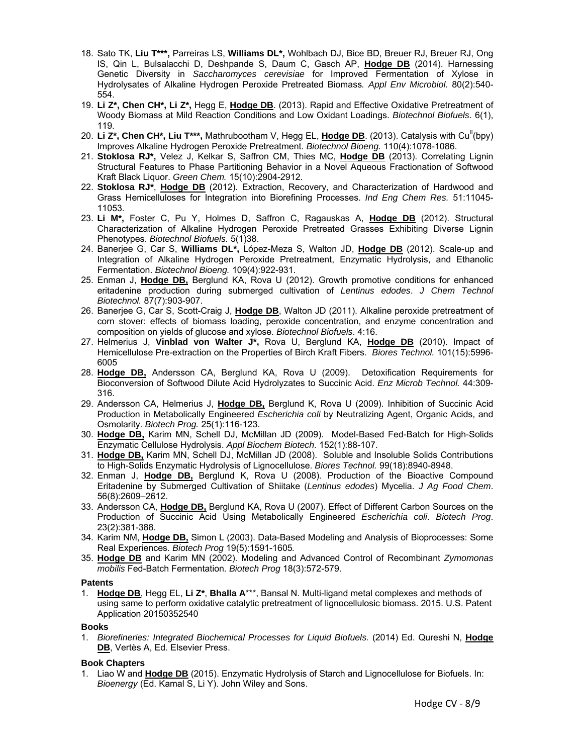- 18. Sato TK, **Liu T\*\*\*,** Parreiras LS, **Williams DL\*,** Wohlbach DJ, Bice BD, Breuer RJ, Breuer RJ, Ong IS, Qin L, Bulsalacchi D, Deshpande S, Daum C, Gasch AP, **Hodge DB** (2014). Harnessing Genetic Diversity in *Saccharomyces cerevisiae* for Improved Fermentation of Xylose in Hydrolysates of Alkaline Hydrogen Peroxide Pretreated Biomass*. Appl Env Microbiol.* 80(2):540- 554.
- 19. **Li Z\*, Chen CH\*, Li Z\*,** Hegg E, **Hodge DB**. (2013). Rapid and Effective Oxidative Pretreatment of Woody Biomass at Mild Reaction Conditions and Low Oxidant Loadings. *Biotechnol Biofuels*. 6(1), 119.
- 20. Li Z<sup>\*</sup>, Chen CH<sup>\*</sup>, Liu T<sup>\*\*\*</sup>, Mathrubootham V, Hegg EL, Hodge DB. (2013). Catalysis with Cu<sup>ll</sup>(bpy) Improves Alkaline Hydrogen Peroxide Pretreatment. *Biotechnol Bioeng.* 110(4):1078-1086.
- 21. **Stoklosa RJ\*,** Velez J, Kelkar S, Saffron CM, Thies MC, **Hodge DB** (2013). Correlating Lignin Structural Features to Phase Partitioning Behavior in a Novel Aqueous Fractionation of Softwood Kraft Black Liquor. *Green Chem.* 15(10):2904-2912.
- 22. **Stoklosa RJ\***, **Hodge DB** (2012). Extraction, Recovery, and Characterization of Hardwood and Grass Hemicelluloses for Integration into Biorefining Processes. *Ind Eng Chem Res.* 51:11045- 11053.
- 23. **Li M\*,** Foster C, Pu Y, Holmes D, Saffron C, Ragauskas A, **Hodge DB** (2012). Structural Characterization of Alkaline Hydrogen Peroxide Pretreated Grasses Exhibiting Diverse Lignin Phenotypes. *Biotechnol Biofuels.* 5(1)38.
- 24. Banerjee G, Car S, **Williams DL\*,** López-Meza S, Walton JD, **Hodge DB** (2012). Scale-up and Integration of Alkaline Hydrogen Peroxide Pretreatment, Enzymatic Hydrolysis, and Ethanolic Fermentation. *Biotechnol Bioeng.* 109(4):922-931.
- 25. Enman J, **Hodge DB,** Berglund KA, Rova U (2012). Growth promotive conditions for enhanced eritadenine production during submerged cultivation of *Lentinus edodes*. *J Chem Technol Biotechnol.* 87(7):903-907.
- 26. Banerjee G, Car S, Scott-Craig J, **Hodge DB**, Walton JD (2011). Alkaline peroxide pretreatment of corn stover: effects of biomass loading, peroxide concentration, and enzyme concentration and composition on yields of glucose and xylose. *Biotechnol Biofuels*. 4:16.
- 27. Helmerius J, **Vinblad von Walter J\*,** Rova U, Berglund KA, **Hodge DB** (2010). Impact of Hemicellulose Pre-extraction on the Properties of Birch Kraft Fibers. *Biores Technol.* 101(15):5996- 6005
- 28. **Hodge DB,** Andersson CA, Berglund KA, Rova U (2009). Detoxification Requirements for Bioconversion of Softwood Dilute Acid Hydrolyzates to Succinic Acid. *Enz Microb Technol.* 44:309- 316.
- 29. Andersson CA, Helmerius J, **Hodge DB,** Berglund K, Rova U (2009). Inhibition of Succinic Acid Production in Metabolically Engineered *Escherichia coli* by Neutralizing Agent, Organic Acids, and Osmolarity. *Biotech Prog.* 25(1):116-123.
- 30. **Hodge DB,** Karim MN, Schell DJ, McMillan JD (2009). Model-Based Fed-Batch for High-Solids Enzymatic Cellulose Hydrolysis. *Appl Biochem Biotech*. 152(1):88-107.
- 31. **Hodge DB,** Karim MN, Schell DJ, McMillan JD (2008). Soluble and Insoluble Solids Contributions to High-Solids Enzymatic Hydrolysis of Lignocellulose. *Biores Technol.* 99(18):8940-8948.
- 32. Enman J, **Hodge DB,** Berglund K, Rova U (2008). Production of the Bioactive Compound Eritadenine by Submerged Cultivation of Shiitake (*Lentinus edodes*) Mycelia. *J Ag Food Chem*. 56(8):2609–2612.
- 33. Andersson CA, **Hodge DB,** Berglund KA, Rova U (2007). Effect of Different Carbon Sources on the Production of Succinic Acid Using Metabolically Engineered *Escherichia coli*. *Biotech Prog*. 23(2):381-388.
- 34. Karim NM, **Hodge DB,** Simon L (2003). Data-Based Modeling and Analysis of Bioprocesses: Some Real Experiences. *Biotech Prog* 19(5):1591-1605*.*
- 35. **Hodge DB** and Karim MN (2002). Modeling and Advanced Control of Recombinant *Zymomonas mobilis* Fed-Batch Fermentation. *Biotech Prog* 18(3):572-579.

#### **Patents**

1. **Hodge DB**, Hegg EL, **Li Z\***, **Bhalla A**\*\*\*, Bansal N. Multi-ligand metal complexes and methods of using same to perform oxidative catalytic pretreatment of lignocellulosic biomass. 2015. U.S. Patent Application 20150352540

#### **Books**

1. *Biorefineries: Integrated Biochemical Processes for Liquid Biofuels.* (2014) Ed. Qureshi N, **Hodge DB**, Vertès A, Ed. Elsevier Press.

#### **Book Chapters**

1. Liao W and **Hodge DB** (2015). Enzymatic Hydrolysis of Starch and Lignocellulose for Biofuels. In: *Bioenergy* (Ed. Kamal S, Li Y). John Wiley and Sons.